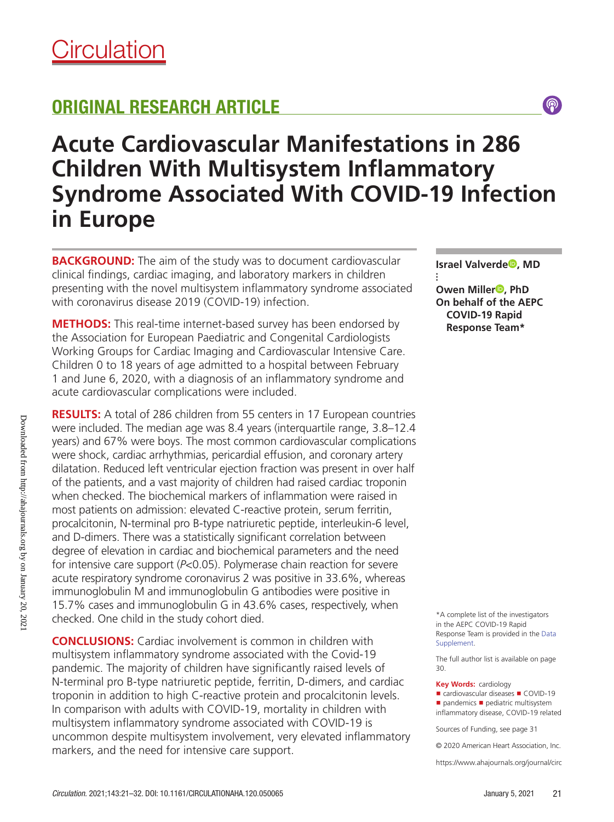# ORIGINAL RESEARCH ARTICLE

# **Acute Cardiovascular Manifestations in 286 Children With Multisystem Inflammatory Syndrome Associated With COVID-19 Infection in Europe**

**BACKGROUND:** The aim of the study was to document cardiovascular clinical findings, cardiac imaging, and laboratory markers in children presenting with the novel multisystem inflammatory syndrome associated with coronavirus disease 2019 (COVID-19) infection.

**METHODS:** This real-time internet-based survey has been endorsed by the Association for European Paediatric and Congenital Cardiologists Working Groups for Cardiac Imaging and Cardiovascular Intensive Care. Children 0 to 18 years of age admitted to a hospital between February 1 and June 6, 2020, with a diagnosis of an inflammatory syndrome and acute cardiovascular complications were included.

**RESULTS:** A total of 286 children from 55 centers in 17 European countries were included. The median age was 8.4 years (interquartile range, 3.8–12.4 years) and 67% were boys. The most common cardiovascular complications were shock, cardiac arrhythmias, pericardial effusion, and coronary artery dilatation. Reduced left ventricular ejection fraction was present in over half of the patients, and a vast majority of children had raised cardiac troponin when checked. The biochemical markers of inflammation were raised in most patients on admission: elevated C-reactive protein, serum ferritin, procalcitonin, N-terminal pro B-type natriuretic peptide, interleukin-6 level, and D-dimers. There was a statistically significant correlation between degree of elevation in cardiac and biochemical parameters and the need for intensive care support (*P*<0.05). Polymerase chain reaction for severe acute respiratory syndrome coronavirus 2 was positive in 33.6%, whereas immunoglobulin M and immunoglobulin G antibodies were positive in 15.7% cases and immunoglobulin G in 43.6% cases, respectively, when checked. One child in the study cohort died.

**CONCLUSIONS:** Cardiac involvement is common in children with multisystem inflammatory syndrome associated with the Covid-19 pandemic. The majority of children have significantly raised levels of N-terminal pro B-type natriuretic peptide, ferritin, D-dimers, and cardiac troponin in addition to high C-reactive protein and procalcitonin levels. In comparison with adults with COVID-19, mortality in children with multisystem inflammatory syndrome associated with COVID-19 is uncommon despite multisystem involvement, very elevated inflammatory markers, and the need for intensive care support. **Example 2012** Can be a 2020 American Heart Association, Inc.

**Israel Valverde<sup>®</sup>, MD** 

 $\circledS$ 

**⁝ Owen Miller<sup>®</sup>**, PhD **On behalf of the AEPC COVID-19 Rapid Response Team\***

\*A complete list of the investigators in the AEPC COVID-19 Rapid Response Team is provided in the Data Supplement.

The full author list is available on page 30.

**Key Words:** cardiology ■ cardiovascular diseases ■ COVID-19 ■ pandemics ■ pediatric multisystem inflammatory disease, COVID-19 related

Sources of Funding, see page 31

https://www.ahajournals.org/journal/circ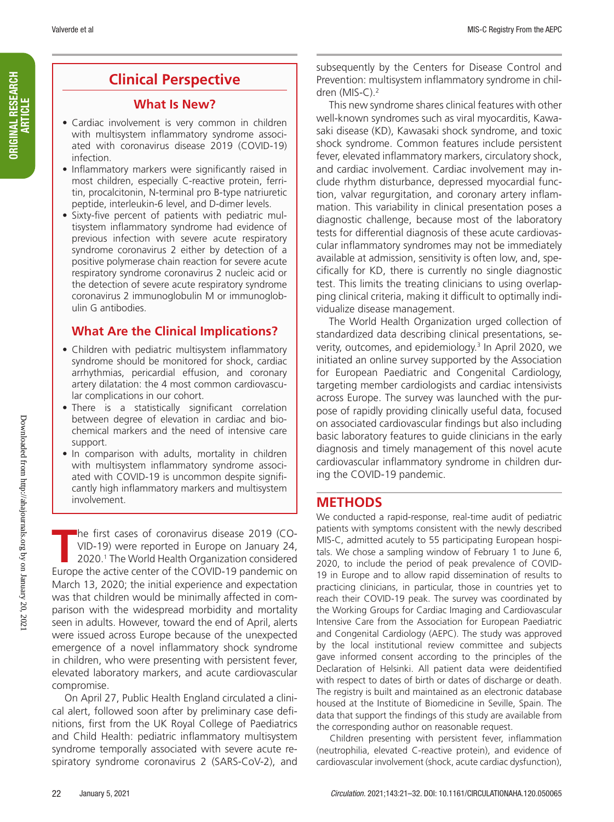## **Clinical Perspective**

#### **What Is New?**

- Cardiac involvement is very common in children with multisystem inflammatory syndrome associated with coronavirus disease 2019 (COVID-19) infection.
- Inflammatory markers were significantly raised in most children, especially C-reactive protein, ferritin, procalcitonin, N-terminal pro B-type natriuretic peptide, interleukin-6 level, and D-dimer levels.
- Sixty-five percent of patients with pediatric multisystem inflammatory syndrome had evidence of previous infection with severe acute respiratory syndrome coronavirus 2 either by detection of a positive polymerase chain reaction for severe acute respiratory syndrome coronavirus 2 nucleic acid or the detection of severe acute respiratory syndrome coronavirus 2 immunoglobulin M or immunoglobulin G antibodies.

## **What Are the Clinical Implications?**

- Children with pediatric multisystem inflammatory syndrome should be monitored for shock, cardiac arrhythmias, pericardial effusion, and coronary artery dilatation: the 4 most common cardiovascular complications in our cohort.
- There is a statistically significant correlation between degree of elevation in cardiac and biochemical markers and the need of intensive care support.
- In comparison with adults, mortality in children with multisystem inflammatory syndrome associated with COVID-19 is uncommon despite significantly high inflammatory markers and multisystem involvement.

The first cases of coronavirus disease 2019 (CO-<br>VID-19) were reported in Europe on January 24,<br>2020.<sup>1</sup> The World Health Organization considered VID-19) were reported in Europe on January 24, 2020.1 The World Health Organization considered Europe the active center of the COVID-19 pandemic on March 13, 2020; the initial experience and expectation was that children would be minimally affected in comparison with the widespread morbidity and mortality seen in adults. However, toward the end of April, alerts were issued across Europe because of the unexpected emergence of a novel inflammatory shock syndrome in children, who were presenting with persistent fever, elevated laboratory markers, and acute cardiovascular compromise.

On April 27, Public Health England circulated a clinical alert, followed soon after by preliminary case definitions, first from the UK Royal College of Paediatrics and Child Health: pediatric inflammatory multisystem syndrome temporally associated with severe acute respiratory syndrome coronavirus 2 (SARS-CoV-2), and subsequently by the Centers for Disease Control and Prevention: multisystem inflammatory syndrome in children (MIS-C).2

This new syndrome shares clinical features with other well-known syndromes such as viral myocarditis, Kawasaki disease (KD), Kawasaki shock syndrome, and toxic shock syndrome. Common features include persistent fever, elevated inflammatory markers, circulatory shock, and cardiac involvement. Cardiac involvement may include rhythm disturbance, depressed myocardial function, valvar regurgitation, and coronary artery inflammation. This variability in clinical presentation poses a diagnostic challenge, because most of the laboratory tests for differential diagnosis of these acute cardiovascular inflammatory syndromes may not be immediately available at admission, sensitivity is often low, and, specifically for KD, there is currently no single diagnostic test. This limits the treating clinicians to using overlapping clinical criteria, making it difficult to optimally individualize disease management.

The World Health Organization urged collection of standardized data describing clinical presentations, severity, outcomes, and epidemiology.<sup>3</sup> In April 2020, we initiated an online survey supported by the Association for European Paediatric and Congenital Cardiology, targeting member cardiologists and cardiac intensivists across Europe. The survey was launched with the purpose of rapidly providing clinically useful data, focused on associated cardiovascular findings but also including basic laboratory features to guide clinicians in the early diagnosis and timely management of this novel acute cardiovascular inflammatory syndrome in children during the COVID-19 pandemic.

## **METHODS**

We conducted a rapid-response, real-time audit of pediatric patients with symptoms consistent with the newly described MIS-C, admitted acutely to 55 participating European hospitals. We chose a sampling window of February 1 to June 6, 2020, to include the period of peak prevalence of COVID-19 in Europe and to allow rapid dissemination of results to practicing clinicians, in particular, those in countries yet to reach their COVID-19 peak. The survey was coordinated by the Working Groups for Cardiac Imaging and Cardiovascular Intensive Care from the Association for European Paediatric and Congenital Cardiology (AEPC). The study was approved by the local institutional review committee and subjects gave informed consent according to the principles of the Declaration of Helsinki. All patient data were deidentified with respect to dates of birth or dates of discharge or death. The registry is built and maintained as an electronic database housed at the Institute of Biomedicine in Seville, Spain. The data that support the findings of this study are available from the corresponding author on reasonable request.

Children presenting with persistent fever, inflammation (neutrophilia, elevated C-reactive protein), and evidence of cardiovascular involvement (shock, acute cardiac dysfunction),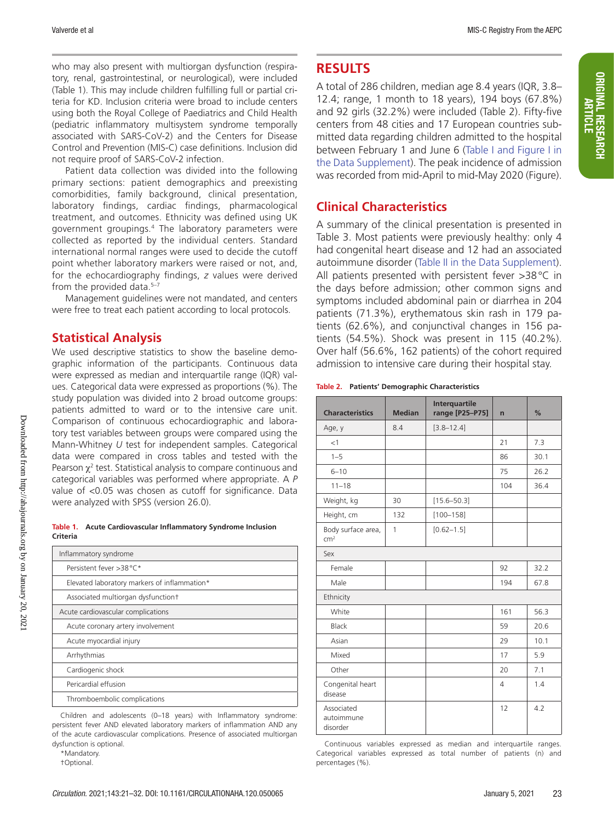who may also present with multiorgan dysfunction (respiratory, renal, gastrointestinal, or neurological), were included (Table 1). This may include children fulfilling full or partial criteria for KD. Inclusion criteria were broad to include centers using both the Royal College of Paediatrics and Child Health (pediatric inflammatory multisystem syndrome temporally associated with SARS-CoV-2) and the Centers for Disease Control and Prevention (MIS-C) case definitions. Inclusion did not require proof of SARS-CoV-2 infection.

Patient data collection was divided into the following primary sections: patient demographics and preexisting comorbidities, family background, clinical presentation, laboratory findings, cardiac findings, pharmacological treatment, and outcomes. Ethnicity was defined using UK government groupings.4 The laboratory parameters were collected as reported by the individual centers. Standard international normal ranges were used to decide the cutoff point whether laboratory markers were raised or not, and, for the echocardiography findings, *z* values were derived from the provided data. $5-7$ 

Management guidelines were not mandated, and centers were free to treat each patient according to local protocols.

## **Statistical Analysis**

We used descriptive statistics to show the baseline demographic information of the participants. Continuous data were expressed as median and interquartile range (IQR) values. Categorical data were expressed as proportions (%). The study population was divided into 2 broad outcome groups: patients admitted to ward or to the intensive care unit. Comparison of continuous echocardiographic and laboratory test variables between groups were compared using the Mann-Whitney *U* test for independent samples. Categorical data were compared in cross tables and tested with the Pearson  $\chi^2$  test. Statistical analysis to compare continuous and categorical variables was performed where appropriate. A *P* value of <0.05 was chosen as cutoff for significance. Data were analyzed with SPSS (version 26.0).

**Table 1. Acute Cardiovascular Inflammatory Syndrome Inclusion Criteria**

| Inflammatory syndrome                        |
|----------------------------------------------|
| Persistent fever >38 °C*                     |
| Elevated laboratory markers of inflammation* |
| Associated multiorgan dysfunction+           |
| Acute cardiovascular complications           |
| Acute coronary artery involvement            |
| Acute myocardial injury                      |
| Arrhythmias                                  |
| Cardiogenic shock                            |
| Pericardial effusion                         |
| Thromboembolic complications                 |

Children and adolescents (0–18 years) with Inflammatory syndrome: persistent fever AND elevated laboratory markers of inflammation AND any of the acute cardiovascular complications. Presence of associated multiorgan dysfunction is optional.

\*Mandatory.

†Optional.

## **RESULTS**

A total of 286 children, median age 8.4 years (IQR, 3.8– 12.4; range, 1 month to 18 years), 194 boys (67.8%) and 92 girls (32.2%) were included (Table 2). Fifty-five centers from 48 cities and 17 European countries submitted data regarding children admitted to the hospital between February 1 and June 6 (Table I and Figure I in the Data Supplement). The peak incidence of admission was recorded from mid-April to mid-May 2020 (Figure).

## **Clinical Characteristics**

A summary of the clinical presentation is presented in Table 3. Most patients were previously healthy: only 4 had congenital heart disease and 12 had an associated autoimmune disorder (Table II in the Data Supplement). All patients presented with persistent fever >38°C in the days before admission; other common signs and symptoms included abdominal pain or diarrhea in 204 patients (71.3%), erythematous skin rash in 179 patients (62.6%), and conjunctival changes in 156 patients (54.5%). Shock was present in 115 (40.2%). Over half (56.6%, 162 patients) of the cohort required admission to intensive care during their hospital stay.

#### **Table 2. Patients' Demographic Characteristics**

| <b>Characteristics</b>                | <b>Median</b> | <b>Interquartile</b><br>range [P25-P75] | $\overline{ }$ | %    |
|---------------------------------------|---------------|-----------------------------------------|----------------|------|
| Age, y                                | 8.4           | $[3.8 - 12.4]$                          |                |      |
| <1                                    |               |                                         | 21             | 7.3  |
| $1 - 5$                               |               |                                         | 86             | 30.1 |
| $6 - 10$                              |               |                                         | 75             | 26.2 |
| $11 - 18$                             |               |                                         | 104            | 36.4 |
| Weight, kg                            | 30            | $[15.6 - 50.3]$                         |                |      |
| Height, cm                            | 132           | $[100 - 158]$                           |                |      |
| Body surface area,<br>cm <sup>2</sup> | 1             | $[0.62 - 1.5]$                          |                |      |
| Sex                                   |               |                                         |                |      |
| Female                                |               |                                         | 92             | 32.2 |
| Male                                  |               |                                         | 194            | 67.8 |
| Ethnicity                             |               |                                         |                |      |
| White                                 |               |                                         | 161            | 56.3 |
| Black                                 |               |                                         | 59             | 20.6 |
| Asian                                 |               |                                         | 29             | 10.1 |
| Mixed                                 |               |                                         | 17             | 5.9  |
| Other                                 |               |                                         | 20             | 7.1  |
| Congenital heart<br>disease           |               |                                         | 4              | 1.4  |
| Associated<br>autoimmune<br>disorder  |               |                                         | 12             | 4.2  |

Continuous variables expressed as median and interquartile ranges. Categorical variables expressed as total number of patients (n) and percentages (%).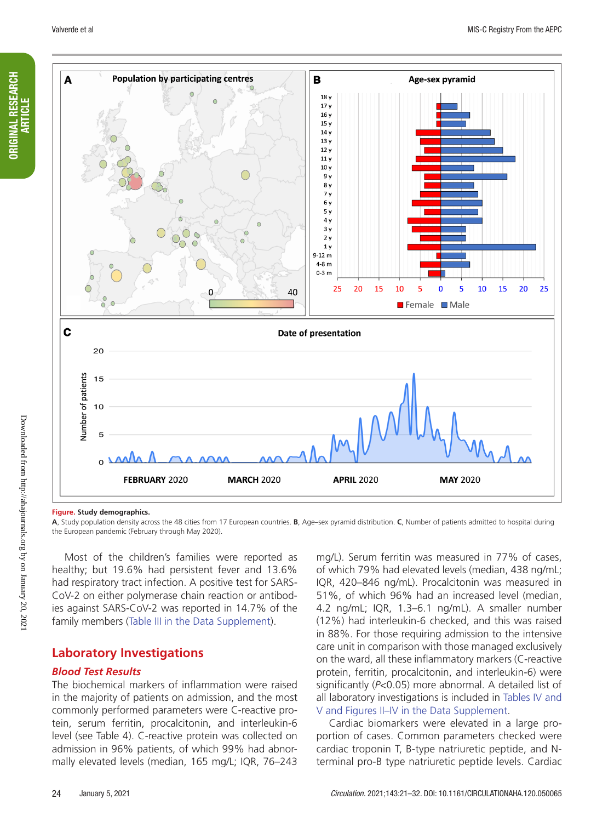ORIGINAL RESEARCH ARTICLE

ORIGINAL RESEARCH



#### **Figure. Study demographics.**

**A**, Study population density across the 48 cities from 17 European countries. **B**, Age–sex pyramid distribution. **C**, Number of patients admitted to hospital during the European pandemic (February through May 2020).

Most of the children's families were reported as healthy; but 19.6% had persistent fever and 13.6% had respiratory tract infection. A positive test for SARS-CoV-2 on either polymerase chain reaction or antibodies against SARS-CoV-2 was reported in 14.7% of the family members (Table III in the Data Supplement).

#### **Laboratory Investigations**

#### *Blood Test Results*

The biochemical markers of inflammation were raised in the majority of patients on admission, and the most commonly performed parameters were C-reactive protein, serum ferritin, procalcitonin, and interleukin-6 level (see Table 4). C-reactive protein was collected on admission in 96% patients, of which 99% had abnormally elevated levels (median, 165 mg/L; IQR, 76–243

mg/L). Serum ferritin was measured in 77% of cases, of which 79% had elevated levels (median, 438 ng/mL; IQR, 420–846 ng/mL). Procalcitonin was measured in 51%, of which 96% had an increased level (median, 4.2 ng/mL; IQR, 1.3–6.1 ng/mL). A smaller number (12%) had interleukin-6 checked, and this was raised in 88%. For those requiring admission to the intensive care unit in comparison with those managed exclusively on the ward, all these inflammatory markers (C-reactive protein, ferritin, procalcitonin, and interleukin-6) were significantly (*P*<0.05) more abnormal. A detailed list of all laboratory investigations is included in Tables IV and V and Figures II–IV in the Data Supplement.

Cardiac biomarkers were elevated in a large proportion of cases. Common parameters checked were cardiac troponin T, B-type natriuretic peptide, and Nterminal pro-B type natriuretic peptide levels. Cardiac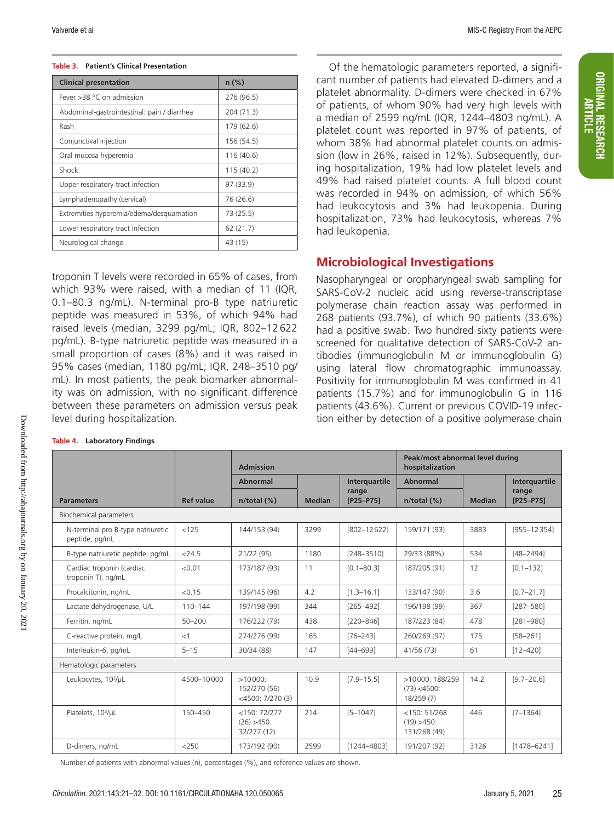#### **Table 3. Patient's Clinical Presentation**

| <b>Clinical presentation</b>                | $n$ (%)    |
|---------------------------------------------|------------|
| Fever > 38 ° C on admission                 | 276 (96.5) |
| Abdominal-gastrointestinal: pain / diarrhea | 204 (71.3) |
| Rash                                        | 179 (62.6) |
| Conjunctival injection                      | 156 (54.5) |
| Oral mucosa hyperemia                       | 116 (40.6) |
| Shock                                       | 115(40.2)  |
| Upper respiratory tract infection           | 97 (33.9)  |
| Lymphadenopathy (cervical)                  | 76 (26.6)  |
| Extremities hyperemia/edema/desquamation    | 73 (25.5)  |
| Lower respiratory tract infection           | 62(21.7)   |
| Neurological change                         | 43 (15)    |

troponin T levels were recorded in 65% of cases, from which 93% were raised, with a median of 11 (IQR, 0.1–80.3 ng/mL). N-terminal pro-B type natriuretic peptide was measured in 53%, of which 94% had raised levels (median, 3299 pg/mL; IQR, 802–12 622 pg/mL). B-type natriuretic peptide was measured in a small proportion of cases (8%) and it was raised in 95% cases (median, 1180 pg/mL; IQR, 248–3510 pg/ mL). In most patients, the peak biomarker abnormality was on admission, with no significant difference between these parameters on admission versus peak level during hospitalization.

Of the hematologic parameters reported, a significant number of patients had elevated D-dimers and a platelet abnormality. D-dimers were checked in 67% of patients, of whom 90% had very high levels with a median of 2599 ng/mL (IQR, 1244–4803 ng/mL). A platelet count was reported in 97% of patients, of whom 38% had abnormal platelet counts on admission (low in 26%, raised in 12%). Subsequently, during hospitalization, 19% had low platelet levels and 49% had raised platelet counts. A full blood count was recorded in 94% on admission, of which 56% had leukocytosis and 3% had leukopenia. During hospitalization, 73% had leukocytosis, whereas 7% had leukopenia.

## **Microbiological Investigations**

Nasopharyngeal or oropharyngeal swab sampling for SARS-CoV-2 nucleic acid using reverse-transcriptase polymerase chain reaction assay was performed in 268 patients (93.7%), of which 90 patients (33.6%) had a positive swab. Two hundred sixty patients were screened for qualitative detection of SARS-CoV-2 antibodies (immunoglobulin M or immunoglobulin G) using lateral flow chromatographic immunoassay. Positivity for immunoglobulin M was confirmed in 41 patients (15.7%) and for immunoglobulin G in 116 patients (43.6%). Current or previous COVID-19 infection either by detection of a positive polymerase chain

|                                                     |                  | <b>Admission</b>                                    |               |                      | Peak/most abnormal level during<br>hospitalization |               |                    |  |
|-----------------------------------------------------|------------------|-----------------------------------------------------|---------------|----------------------|----------------------------------------------------|---------------|--------------------|--|
|                                                     |                  | Abnormal                                            |               | <b>Interquartile</b> | <b>Abnormal</b>                                    |               | Interguartile      |  |
| <b>Parameters</b>                                   | <b>Ref value</b> | $n$ /total $(\%)$                                   | <b>Median</b> | range<br>[P25-P75]   | $n$ /total $(\%)$                                  | <b>Median</b> | range<br>[P25-P75] |  |
| Biochemical parameters                              |                  |                                                     |               |                      |                                                    |               |                    |  |
| N-terminal pro B-type natriuretic<br>peptide, pg/mL | < 125            | 144/153 (94)                                        | 3299          | [802-12622]          | 159/171 (93)                                       | 3883          | $[955 - 12354]$    |  |
| B-type natriuretic peptide, pg/mL                   | $<$ 24.5         | 21/22 (95)                                          | 1180          | $[248 - 3510]$       | 29/33 (88%)                                        | 534           | $[48 - 2494]$      |  |
| Cardiac troponin (cardiac<br>troponin T), ng/mL     | < 0.01           | 173/187 (93)                                        | 11            | $[0.1 - 80.3]$       | 187/205 (91)                                       | 12            | $[0.1 - 132]$      |  |
| Procalcitonin, ng/mL                                | < 0.15           | 139/145 (96)                                        | 4.2           | $[1.3 - 16.1]$       | 133/147 (90)                                       | 3.6           | $[0.7 - 21.7]$     |  |
| Lactate dehydrogenase, U/L                          | $110 - 144$      | 197/198 (99)                                        | 344           | $[265 - 492]$        | 196/198 (99)                                       | 367           | $[287 - 580]$      |  |
| Ferritin, ng/mL                                     | $50 - 200$       | 176/222 (79)                                        | 438           | $[220 - 846]$        | 187/223 (84)                                       | 478           | $[281 - 980]$      |  |
| C-reactive protein, mg/L                            | <1               | 274/276 (99)                                        | 165           | $[76 - 243]$         | 260/269 (97)                                       | 175           | $[58 - 261]$       |  |
| Interleukin-6, pg/mL                                | $5 - 15$         | 30/34 (88)                                          | 147           | $[44 - 699]$         | 41/56 (73)                                         | 61            | $[12 - 420]$       |  |
| Hematologic parameters                              |                  |                                                     |               |                      |                                                    |               |                    |  |
| Leukocytes, 10 <sup>3</sup> /µL                     | 4500-10000       | $>10000$ :<br>152/270 (56)<br>$<$ 4500: 7/270 $(3)$ | 10.9          | $[7.9 - 15.5]$       | >10000: 188/259<br>$(73) < 4500$ :<br>18/259 (7)   | 14.2          | $[9.7 - 20.6]$     |  |
| Platelets, 10 <sup>3</sup> /µL                      | 150-450          | <150:72/277<br>$(26) > 450$ :<br>32/277 (12)        | 214           | $[5 - 1047]$         | $<$ 150: 51/268<br>$(19) > 450$ :<br>131/268 (49)  | 446           | $[7 - 1364]$       |  |
| D-dimers, ng/mL                                     | $<$ 250          | 173/192 (90)                                        | 2599          | [1244-4803]          | 191/207 (92)                                       | 3126          | $[1478 - 6241]$    |  |

Number of patients with abnormal values (n), percentages (%), and reference values are shown.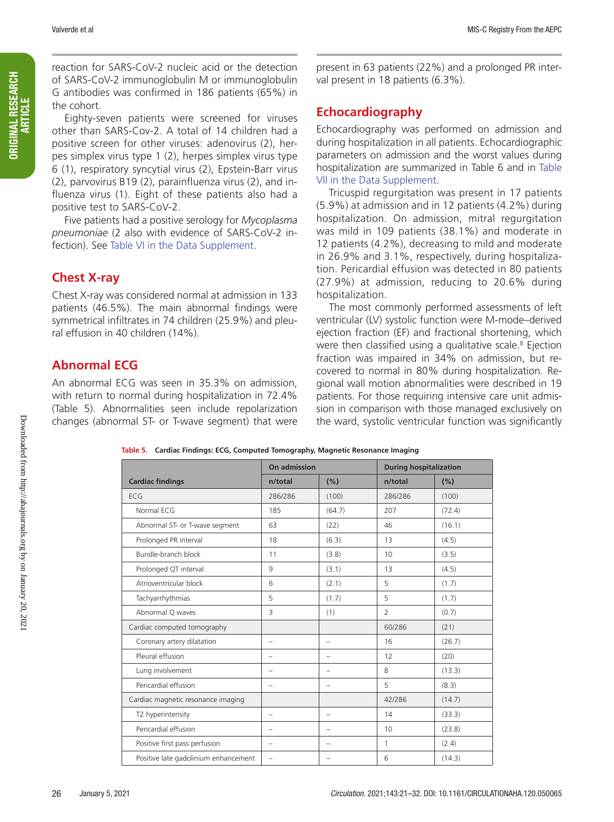reaction for SARS-CoV-2 nucleic acid or the detection of SARS-CoV-2 immunoglobulin M or immunoglobulin G antibodies was confirmed in 186 patients (65%) in the cohort.

Eighty-seven patients were screened for viruses other than SARS-Cov-2. A total of 14 children had a positive screen for other viruses: adenovirus (2), herpes simplex virus type 1 (2), herpes simplex virus type 6 (1), respiratory syncytial virus (2), Epstein-Barr virus (2), parvovirus B19 (2), parainfluenza virus (2), and influenza virus (1). Eight of these patients also had a positive test to SARS-CoV-2.

Five patients had a positive serology for *Mycoplasma pneumoniae* (2 also with evidence of SARS-CoV-2 infection). See Table VI in the Data Supplement.

## **Chest X-ray**

Chest X-ray was considered normal at admission in 133 patients (46.5%). The main abnormal findings were symmetrical infiltrates in 74 children (25.9%) and pleural effusion in 40 children (14%).

## **Abnormal ECG**

An abnormal ECG was seen in 35.3% on admission, with return to normal during hospitalization in 72.4% (Table 5). Abnormalities seen include repolarization changes (abnormal ST- or T-wave segment) that were

present in 63 patients (22%) and a prolonged PR interval present in 18 patients (6.3%).

## **Echocardiography**

Echocardiography was performed on admission and during hospitalization in all patients. Echocardiographic parameters on admission and the worst values during hospitalization are summarized in Table 6 and in Table VII in the Data Supplement.

Tricuspid regurgitation was present in 17 patients (5.9%) at admission and in 12 patients (4.2%) during hospitalization. On admission, mitral regurgitation was mild in 109 patients (38.1%) and moderate in 12 patients (4.2%), decreasing to mild and moderate in 26.9% and 3.1%, respectively, during hospitalization. Pericardial effusion was detected in 80 patients (27.9%) at admission, reducing to 20.6% during hospitalization.

The most commonly performed assessments of left ventricular (LV) systolic function were M-mode–derived ejection fraction (EF) and fractional shortening, which were then classified using a qualitative scale.<sup>8</sup> Ejection fraction was impaired in 34% on admission, but recovered to normal in 80% during hospitalization. Regional wall motion abnormalities were described in 19 patients. For those requiring intensive care unit admission in comparison with those managed exclusively on the ward, systolic ventricular function was significantly

|                                      | On admission             |                          | <b>During hospitalization</b> |        |  |
|--------------------------------------|--------------------------|--------------------------|-------------------------------|--------|--|
| <b>Cardiac findings</b>              | n/total                  | (%)                      | n/total                       | (%)    |  |
| ECG                                  | 286/286                  | (100)                    | 286/286                       | (100)  |  |
| Normal ECG                           | 185                      | (64.7)                   | 207                           | (72.4) |  |
| Abnormal ST- or T-wave segment       | 63                       | (22)                     | 46                            | (16.1) |  |
| Prolonged PR interval                | 18                       | (6.3)                    | 13                            | (4.5)  |  |
| Bundle-branch block                  | 11                       | (3.8)                    | 10                            | (3.5)  |  |
| Prolonged QT interval                | 9                        | (3.1)                    | 13                            | (4.5)  |  |
| Atrioventricular block               | 6                        | (2.1)                    | 5                             | (1.7)  |  |
| Tachyarrhythmias                     | 5                        | (1.7)                    | 5                             | (1.7)  |  |
| Abnormal Q waves                     | 3                        | (1)                      | $\overline{2}$                | (0.7)  |  |
| Cardiac computed tomography          |                          |                          | 60/286                        | (21)   |  |
| Coronary artery dilatation           | $\overline{\phantom{0}}$ | $\overline{\phantom{0}}$ | 16                            | (26.7) |  |
| Pleural effusion                     |                          | $\overline{\phantom{0}}$ | 12                            | (20)   |  |
| Lung involvement                     | $\overline{\phantom{0}}$ | $\overline{\phantom{0}}$ | 8                             | (13.3) |  |
| Pericardial effusion                 | $\overline{\phantom{0}}$ | $\overline{\phantom{0}}$ | 5                             | (8.3)  |  |
| Cardiac magnetic resonance imaging   |                          |                          | 42/286                        | (14.7) |  |
| T2 hyperintensity                    | -                        | $\overline{\phantom{0}}$ | 14                            | (33.3) |  |
| Pericardial effusion                 | L.                       | $\overline{\phantom{0}}$ | 10                            | (23.8) |  |
| Positive first pass perfusion        | $\overline{\phantom{0}}$ | -                        | 1                             | (2.4)  |  |
| Positive late gadolinium enhancement | $\overline{\phantom{0}}$ | -                        | 6                             | (14.3) |  |

**Table 5. Cardiac Findings: ECG, Computed Tomography, Magnetic Resonance Imaging**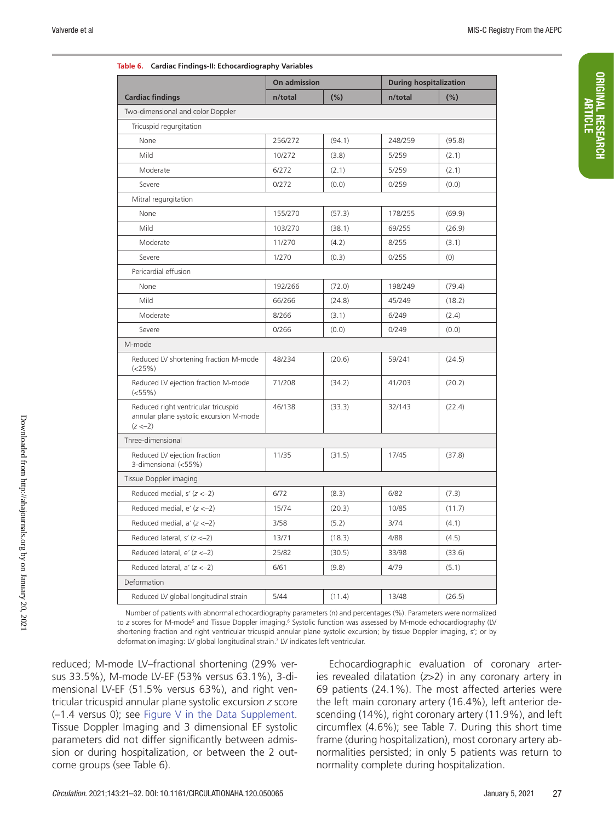ORIGINAL RESEARCH ORIGINAL RESEARCH

| Table 6. Cardiac Findings-II: Ecnocardiography variables                                     | On admission |         | <b>During hospitalization</b> |        |  |  |  |
|----------------------------------------------------------------------------------------------|--------------|---------|-------------------------------|--------|--|--|--|
| <b>Cardiac findings</b>                                                                      | n/total      | $(\% )$ | n/total                       | (%)    |  |  |  |
| Two-dimensional and color Doppler                                                            |              |         |                               |        |  |  |  |
| Tricuspid regurgitation                                                                      |              |         |                               |        |  |  |  |
| None                                                                                         | 256/272      | (94.1)  | 248/259                       | (95.8) |  |  |  |
| Mild                                                                                         | 10/272       | (3.8)   | 5/259                         | (2.1)  |  |  |  |
| Moderate                                                                                     | 6/272        | (2.1)   | 5/259                         | (2.1)  |  |  |  |
| Severe                                                                                       | 0/272        | (0.0)   | 0/259                         | (0.0)  |  |  |  |
| Mitral regurgitation                                                                         |              |         |                               |        |  |  |  |
| None                                                                                         | 155/270      | (57.3)  | 178/255                       | (69.9) |  |  |  |
| Mild                                                                                         | 103/270      | (38.1)  | 69/255                        | (26.9) |  |  |  |
| Moderate                                                                                     | 11/270       | (4.2)   | 8/255                         | (3.1)  |  |  |  |
| Severe                                                                                       | 1/270        | (0.3)   | 0/255                         | (0)    |  |  |  |
| Pericardial effusion                                                                         |              |         |                               |        |  |  |  |
| None                                                                                         | 192/266      | (72.0)  | 198/249                       | (79.4) |  |  |  |
| Mild                                                                                         | 66/266       | (24.8)  | 45/249                        | (18.2) |  |  |  |
| Moderate                                                                                     | 8/266        | (3.1)   | 6/249                         | (2.4)  |  |  |  |
| Severe                                                                                       | 0/266        | (0.0)   | 0/249                         | (0.0)  |  |  |  |
| M-mode                                                                                       |              |         |                               |        |  |  |  |
| Reduced LV shortening fraction M-mode<br>$(<25\%)$                                           | 48/234       | (20.6)  | 59/241                        | (24.5) |  |  |  |
| Reduced LV ejection fraction M-mode<br>(<55%                                                 | 71/208       | (34.2)  | 41/203                        | (20.2) |  |  |  |
| Reduced right ventricular tricuspid<br>annular plane systolic excursion M-mode<br>$(z < -2)$ | 46/138       | (33.3)  | 32/143                        | (22.4) |  |  |  |
| Three-dimensional                                                                            |              |         |                               |        |  |  |  |
| Reduced LV ejection fraction<br>3-dimensional (<55%)                                         | 11/35        | (31.5)  | 17/45                         | (37.8) |  |  |  |
| Tissue Doppler imaging                                                                       |              |         |                               |        |  |  |  |
| Reduced medial, $s'(z \le -2)$                                                               | 6/72         | (8.3)   | 6/82                          | (7.3)  |  |  |  |
| Reduced medial, $e'$ ( $z < -2$ )                                                            | 15/74        | (20.3)  | 10/85                         | (11.7) |  |  |  |
| Reduced medial, $a'(z < -2)$                                                                 | 3/58         | (5.2)   | 3/74                          | (4.1)  |  |  |  |
| Reduced lateral, $s'$ ( $z < -2$ )                                                           | 13/71        | (18.3)  | 4/88                          | (4.5)  |  |  |  |
| Reduced lateral, $e'$ ( $z < -2$ )                                                           | 25/82        | (30.5)  | 33/98                         | (33.6) |  |  |  |
| Reduced lateral, $a'(z < -2)$                                                                | 6/61         | (9.8)   | 4/79                          | (5.1)  |  |  |  |
| Deformation                                                                                  |              |         |                               |        |  |  |  |
| Reduced LV global longitudinal strain                                                        | 5/44         | (11.4)  | 13/48                         | (26.5) |  |  |  |

| Table 6. Cardiac Findings-II: Echocardiography Variables |  |  |
|----------------------------------------------------------|--|--|
|----------------------------------------------------------|--|--|

Number of patients with abnormal echocardiography parameters (n) and percentages (%). Parameters were normalized to *z* scores for M-mode<sup>s</sup> and Tissue Doppler imaging.<sup>6</sup> Systolic function was assessed by M-mode echocardiography (LV shortening fraction and right ventricular tricuspid annular plane systolic excursion; by tissue Doppler imaging, s′; or by deformation imaging: LV global longitudinal strain.7 LV indicates left ventricular.

reduced; M-mode LV–fractional shortening (29% versus 33.5%), M-mode LV-EF (53% versus 63.1%), 3-dimensional LV-EF (51.5% versus 63%), and right ventricular tricuspid annular plane systolic excursion *z* score (–1.4 versus 0); see Figure V in the Data Supplement. Tissue Doppler Imaging and 3 dimensional EF systolic parameters did not differ significantly between admission or during hospitalization, or between the 2 outcome groups (see Table 6).

Echocardiographic evaluation of coronary arteries revealed dilatation (*z*>2) in any coronary artery in 69 patients (24.1%). The most affected arteries were the left main coronary artery (16.4%), left anterior descending (14%), right coronary artery (11.9%), and left circumflex (4.6%); see Table 7. During this short time frame (during hospitalization), most coronary artery abnormalities persisted; in only 5 patients was return to normality complete during hospitalization.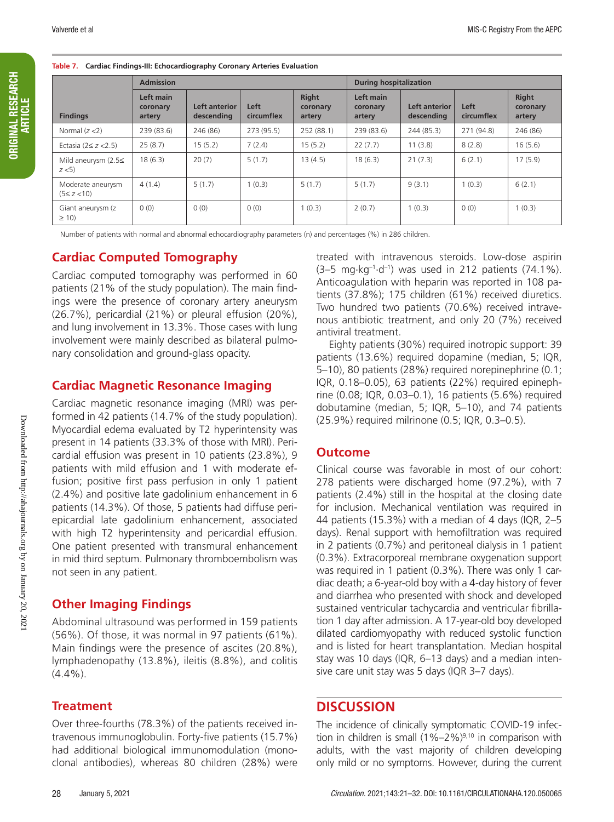**Table 7. Cardiac Findings-III: Echocardiography Coronary Arteries Evaluation**

|                                       | <b>Admission</b>                |                             |                    |                                    | <b>During hospitalization</b>   |                             |                    |                             |
|---------------------------------------|---------------------------------|-----------------------------|--------------------|------------------------------------|---------------------------------|-----------------------------|--------------------|-----------------------------|
| <b>Findings</b>                       | Left main<br>coronary<br>artery | Left anterior<br>descending | Left<br>circumflex | <b>Right</b><br>coronary<br>artery | Left main<br>coronary<br>artery | Left anterior<br>descending | Left<br>circumflex | Right<br>coronary<br>artery |
| Normal $(z < 2)$                      | 239(83.6)                       | 246 (86)                    | 273 (95.5)         | 252 (88.1)                         | 239 (83.6)                      | 244 (85.3)                  | 271 (94.8)         | 246 (86)                    |
| Ectasia ( $2 \le z < 2.5$ )           | 25(8.7)                         | 15(5.2)                     | 7(2.4)             | 15(5.2)                            | 22(7.7)                         | 11(3.8)                     | 8(2.8)             | 16(5.6)                     |
| Mild aneurysm $(2.5\leq$<br>z < 5     | 18(6.3)                         | 20(7)                       | 5(1.7)             | 13(4.5)                            | 18(6.3)                         | 21(7.3)                     | 6(2.1)             | 17(5.9)                     |
| Moderate aneurysm<br>$(5 \le z < 10)$ | 4(1.4)                          | 5(1.7)                      | 1(0.3)             | 5(1.7)                             | 5(1.7)                          | 9(3.1)                      | 1(0.3)             | 6(2.1)                      |
| Giant aneurysm (z<br>$\geq$ 10)       | 0(0)                            | 0(0)                        | 0(0)               | 1(0.3)                             | 2(0.7)                          | 1(0.3)                      | 0(0)               | 1(0.3)                      |

Number of patients with normal and abnormal echocardiography parameters (n) and percentages (%) in 286 children.

## **Cardiac Computed Tomography**

Cardiac computed tomography was performed in 60 patients (21% of the study population). The main findings were the presence of coronary artery aneurysm (26.7%), pericardial (21%) or pleural effusion (20%), and lung involvement in 13.3%. Those cases with lung involvement were mainly described as bilateral pulmonary consolidation and ground-glass opacity.

#### **Cardiac Magnetic Resonance Imaging**

Cardiac magnetic resonance imaging (MRI) was performed in 42 patients (14.7% of the study population). Myocardial edema evaluated by T2 hyperintensity was present in 14 patients (33.3% of those with MRI). Pericardial effusion was present in 10 patients (23.8%), 9 patients with mild effusion and 1 with moderate effusion; positive first pass perfusion in only 1 patient (2.4%) and positive late gadolinium enhancement in 6 patients (14.3%). Of those, 5 patients had diffuse periepicardial late gadolinium enhancement, associated with high T2 hyperintensity and pericardial effusion. One patient presented with transmural enhancement in mid third septum. Pulmonary thromboembolism was not seen in any patient.

## **Other Imaging Findings**

Abdominal ultrasound was performed in 159 patients (56%). Of those, it was normal in 97 patients (61%). Main findings were the presence of ascites (20.8%), lymphadenopathy (13.8%), ileitis (8.8%), and colitis  $(4.4\%)$ .

## **Treatment**

Over three-fourths (78.3%) of the patients received intravenous immunoglobulin. Forty-five patients (15.7%) had additional biological immunomodulation (monoclonal antibodies), whereas 80 children (28%) were

treated with intravenous steroids. Low-dose aspirin  $(3-5 \text{ mg} \cdot \text{kg}^{-1} \cdot \text{d}^{-1})$  was used in 212 patients  $(74.1\%)$ . Anticoagulation with heparin was reported in 108 patients (37.8%); 175 children (61%) received diuretics. Two hundred two patients (70.6%) received intravenous antibiotic treatment, and only 20 (7%) received antiviral treatment.

Eighty patients (30%) required inotropic support: 39 patients (13.6%) required dopamine (median, 5; IQR, 5–10), 80 patients (28%) required norepinephrine (0.1; IQR, 0.18–0.05), 63 patients (22%) required epinephrine (0.08; IQR, 0.03–0.1), 16 patients (5.6%) required dobutamine (median, 5; IQR, 5–10), and 74 patients (25.9%) required milrinone (0.5; IQR, 0.3–0.5).

#### **Outcome**

Clinical course was favorable in most of our cohort: 278 patients were discharged home (97.2%), with 7 patients (2.4%) still in the hospital at the closing date for inclusion. Mechanical ventilation was required in 44 patients (15.3%) with a median of 4 days (IQR, 2–5 days). Renal support with hemofiltration was required in 2 patients (0.7%) and peritoneal dialysis in 1 patient (0.3%). Extracorporeal membrane oxygenation support was required in 1 patient (0.3%). There was only 1 cardiac death; a 6-year-old boy with a 4-day history of fever and diarrhea who presented with shock and developed sustained ventricular tachycardia and ventricular fibrillation 1 day after admission. A 17-year-old boy developed dilated cardiomyopathy with reduced systolic function and is listed for heart transplantation. Median hospital stay was 10 days (IQR, 6–13 days) and a median intensive care unit stay was 5 days (IQR 3–7 days).

## **DISCUSSION**

The incidence of clinically symptomatic COVID-19 infection in children is small  $(1\% - 2\%)^{9,10}$  in comparison with adults, with the vast majority of children developing only mild or no symptoms. However, during the current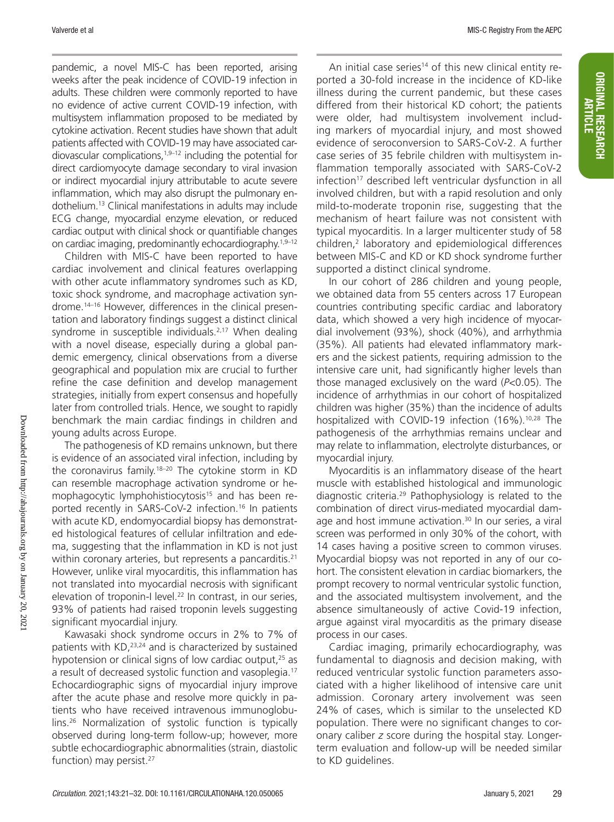ORIGINAL RESEARCH ARTICLE

**ORIGINAL RESEARCH** 

pandemic, a novel MIS-C has been reported, arising weeks after the peak incidence of COVID-19 infection in adults. These children were commonly reported to have no evidence of active current COVID-19 infection, with multisystem inflammation proposed to be mediated by cytokine activation. Recent studies have shown that adult patients affected with COVID-19 may have associated cardiovascular complications, $1,9-12$  including the potential for direct cardiomyocyte damage secondary to viral invasion or indirect myocardial injury attributable to acute severe inflammation, which may also disrupt the pulmonary endothelium.13 Clinical manifestations in adults may include ECG change, myocardial enzyme elevation, or reduced cardiac output with clinical shock or quantifiable changes on cardiac imaging, predominantly echocardiography.<sup>1,9–12</sup>

Children with MIS-C have been reported to have cardiac involvement and clinical features overlapping with other acute inflammatory syndromes such as KD, toxic shock syndrome, and macrophage activation syndrome.14–16 However, differences in the clinical presentation and laboratory findings suggest a distinct clinical syndrome in susceptible individuals.<sup>2,17</sup> When dealing with a novel disease, especially during a global pandemic emergency, clinical observations from a diverse geographical and population mix are crucial to further refine the case definition and develop management strategies, initially from expert consensus and hopefully later from controlled trials. Hence, we sought to rapidly benchmark the main cardiac findings in children and young adults across Europe.

The pathogenesis of KD remains unknown, but there is evidence of an associated viral infection, including by the coronavirus family.18–20 The cytokine storm in KD can resemble macrophage activation syndrome or hemophagocytic lymphohistiocytosis<sup>15</sup> and has been reported recently in SARS-CoV-2 infection.16 In patients with acute KD, endomyocardial biopsy has demonstrated histological features of cellular infiltration and edema, suggesting that the inflammation in KD is not just within coronary arteries, but represents a pancarditis.<sup>21</sup> However, unlike viral myocarditis, this inflammation has not translated into myocardial necrosis with significant elevation of troponin-I level.<sup>22</sup> In contrast, in our series, 93% of patients had raised troponin levels suggesting significant myocardial injury.

Kawasaki shock syndrome occurs in 2% to 7% of patients with KD,<sup>23,24</sup> and is characterized by sustained hypotension or clinical signs of low cardiac output, $25$  as a result of decreased systolic function and vasoplegia.17 Echocardiographic signs of myocardial injury improve after the acute phase and resolve more quickly in patients who have received intravenous immunoglobulins.26 Normalization of systolic function is typically observed during long-term follow-up; however, more subtle echocardiographic abnormalities (strain, diastolic function) may persist.<sup>27</sup>

An initial case series<sup>14</sup> of this new clinical entity reported a 30-fold increase in the incidence of KD-like illness during the current pandemic, but these cases differed from their historical KD cohort; the patients were older, had multisystem involvement including markers of myocardial injury, and most showed evidence of seroconversion to SARS-CoV-2. A further case series of 35 febrile children with multisystem inflammation temporally associated with SARS-CoV-2 infection<sup>17</sup> described left ventricular dysfunction in all involved children, but with a rapid resolution and only mild-to-moderate troponin rise, suggesting that the mechanism of heart failure was not consistent with typical myocarditis. In a larger multicenter study of 58 children,2 laboratory and epidemiological differences between MIS-C and KD or KD shock syndrome further supported a distinct clinical syndrome.

In our cohort of 286 children and young people, we obtained data from 55 centers across 17 European countries contributing specific cardiac and laboratory data, which showed a very high incidence of myocardial involvement (93%), shock (40%), and arrhythmia (35%). All patients had elevated inflammatory markers and the sickest patients, requiring admission to the intensive care unit, had significantly higher levels than those managed exclusively on the ward (*P*<0.05). The incidence of arrhythmias in our cohort of hospitalized children was higher (35%) than the incidence of adults hospitalized with COVID-19 infection (16%).<sup>10,28</sup> The pathogenesis of the arrhythmias remains unclear and may relate to inflammation, electrolyte disturbances, or myocardial injury.

Myocarditis is an inflammatory disease of the heart muscle with established histological and immunologic diagnostic criteria.29 Pathophysiology is related to the combination of direct virus-mediated myocardial damage and host immune activation.<sup>30</sup> In our series, a viral screen was performed in only 30% of the cohort, with 14 cases having a positive screen to common viruses. Myocardial biopsy was not reported in any of our cohort. The consistent elevation in cardiac biomarkers, the prompt recovery to normal ventricular systolic function, and the associated multisystem involvement, and the absence simultaneously of active Covid-19 infection, argue against viral myocarditis as the primary disease process in our cases.

Cardiac imaging, primarily echocardiography, was fundamental to diagnosis and decision making, with reduced ventricular systolic function parameters associated with a higher likelihood of intensive care unit admission. Coronary artery involvement was seen 24% of cases, which is similar to the unselected KD population. There were no significant changes to coronary caliber *z* score during the hospital stay. Longerterm evaluation and follow-up will be needed similar to KD guidelines.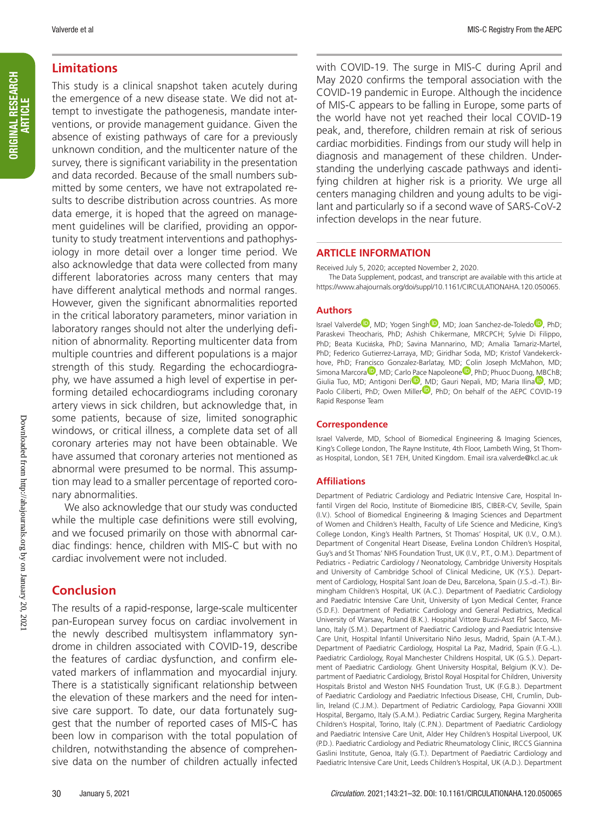#### **Limitations**

This study is a clinical snapshot taken acutely during the emergence of a new disease state. We did not attempt to investigate the pathogenesis, mandate interventions, or provide management guidance. Given the absence of existing pathways of care for a previously unknown condition, and the multicenter nature of the survey, there is significant variability in the presentation and data recorded. Because of the small numbers submitted by some centers, we have not extrapolated results to describe distribution across countries. As more data emerge, it is hoped that the agreed on management guidelines will be clarified, providing an opportunity to study treatment interventions and pathophysiology in more detail over a longer time period. We also acknowledge that data were collected from many different laboratories across many centers that may have different analytical methods and normal ranges. However, given the significant abnormalities reported in the critical laboratory parameters, minor variation in laboratory ranges should not alter the underlying definition of abnormality. Reporting multicenter data from multiple countries and different populations is a major strength of this study. Regarding the echocardiography, we have assumed a high level of expertise in performing detailed echocardiograms including coronary artery views in sick children, but acknowledge that, in some patients, because of size, limited sonographic windows, or critical illness, a complete data set of all coronary arteries may not have been obtainable. We have assumed that coronary arteries not mentioned as abnormal were presumed to be normal. This assumption may lead to a smaller percentage of reported coronary abnormalities.

We also acknowledge that our study was conducted while the multiple case definitions were still evolving, and we focused primarily on those with abnormal cardiac findings: hence, children with MIS-C but with no cardiac involvement were not included.

## **Conclusion**

The results of a rapid-response, large-scale multicenter pan-European survey focus on cardiac involvement in the newly described multisystem inflammatory syndrome in children associated with COVID-19, describe the features of cardiac dysfunction, and confirm elevated markers of inflammation and myocardial injury. There is a statistically significant relationship between the elevation of these markers and the need for intensive care support. To date, our data fortunately suggest that the number of reported cases of MIS-C has been low in comparison with the total population of children, notwithstanding the absence of comprehensive data on the number of children actually infected with COVID-19. The surge in MIS-C during April and May 2020 confirms the temporal association with the COVID-19 pandemic in Europe. Although the incidence of MIS-C appears to be falling in Europe, some parts of the world have not yet reached their local COVID-19 peak, and, therefore, children remain at risk of serious cardiac morbidities. Findings from our study will help in diagnosis and management of these children. Understanding the underlying cascade pathways and identifying children at higher risk is a priority. We urge all centers managing children and young adults to be vigilant and particularly so if a second wave of SARS-CoV-2 infection develops in the near future.

#### **ARTICLE INFORMATION**

Received July 5, 2020; accepted November 2, 2020.

The Data Supplement, podcast, and transcript are available with this article at https://www.ahajournals.org/doi/suppl/10.1161/CIRCULATIONAHA.120.050065.

#### **Authors**

Israel Valverde<sup>in</sup>, MD; Yogen Singh<sup>in</sup>, MD; Joan Sanchez-de-Toledo<sup>in</sup>, PhD; Paraskevi Theocharis, PhD; Ashish Chikermane, MRCPCH; Sylvie Di Filippo, PhD; Beata Kucińska, PhD; Savina Mannarino, MD; Amalia Tamariz-Martel, PhD; Federico Gutierrez-Larraya, MD; Giridhar Soda, MD; Kristof Vandekerckhove, PhD; Francisco Gonzalez-Barlatay, MD; Colin Joseph McMahon, MD; Simona Marcora<sup>1</sup>, MD; Carlo Pace Napoleone<sup>1</sup>, PhD; Phuoc Duong, MBChB; Giulia Tuo, MD; Antigoni Deri<sup>D</sup>, MD; Gauri Nepali, MD; Maria Ilina<sup>D</sup>, MD; Paolo Ciliberti, PhD; Owen Miller<sup>10</sup>, PhD; On behalf of the AEPC COVID-19 Rapid Response Team

#### **Correspondence**

Israel Valverde, MD, School of Biomedical Engineering & Imaging Sciences, King's College London, The Rayne Institute, 4th Floor, Lambeth Wing, St Thomas Hospital, London, SE1 7EH, United Kingdom. Email isra.valverde@kcl.ac.uk

#### **Affiliations**

Department of Pediatric Cardiology and Pediatric Intensive Care, Hospital Infantil Virgen del Rocio, Institute of Biomedicine IBIS, CIBER-CV, Seville, Spain (I.V.). School of Biomedical Engineering & Imaging Sciences and Department of Women and Children's Health, Faculty of Life Science and Medicine, King's College London, King's Health Partners, St Thomas' Hospital, UK (I.V., O.M.). Department of Congenital Heart Disease, Evelina London Children's Hospital, Guy's and St Thomas' NHS Foundation Trust, UK (I.V., P.T., O.M.). Department of Pediatrics - Pediatric Cardiology / Neonatology, Cambridge University Hospitals and University of Cambridge School of Clinical Medicine, UK (Y.S.). Department of Cardiology, Hospital Sant Joan de Deu, Barcelona, Spain (J.S.-d.-T.). Birmingham Children's Hospital, UK (A.C.). Department of Paediatric Cardiology and Paediatric Intensive Care Unit, University of Lyon Medical Center, France (S.D.F.). Department of Pediatric Cardiology and General Pediatrics, Medical University of Warsaw, Poland (B.K.). Hospital Vittore Buzzi-Asst Fbf Sacco, Milano, Italy (S.M.). Department of Paediatric Cardiology and Paediatric Intensive Care Unit, Hospital Infantil Universitario Niño Jesus, Madrid, Spain (A.T.-M.). Department of Paediatric Cardiology, Hospital La Paz, Madrid, Spain (F.G.-L.). Paediatric Cardiology, Royal Manchester Childrens Hospital, UK (G.S.). Department of Paediatric Cardiology. Ghent University Hospital, Belgium (K.V.). Department of Paediatric Cardiology, Bristol Royal Hospital for Children, University Hospitals Bristol and Weston NHS Foundation Trust, UK (F.G.B.). Department of Paediatric Cardiology and Paediatric Infectious Disease, CHI, Crumlin, Dublin, Ireland (C.J.M.). Department of Pediatric Cardiology, Papa Giovanni XXIII Hospital, Bergamo, Italy (S.A.M.). Pediatric Cardiac Surgery, Regina Margherita Children's Hospital, Torino, Italy (C.P.N.). Department of Paediatric Cardiology and Paediatric Intensive Care Unit, Alder Hey Children's Hospital Liverpool, UK (P.D.). Paediatric Cardiology and Pediatric Rheumatology Clinic, IRCCS Giannina Gaslini Institute, Genoa, Italy (G.T.). Department of Paediatric Cardiology and Paediatric Intensive Care Unit, Leeds Children's Hospital, UK (A.D.). Department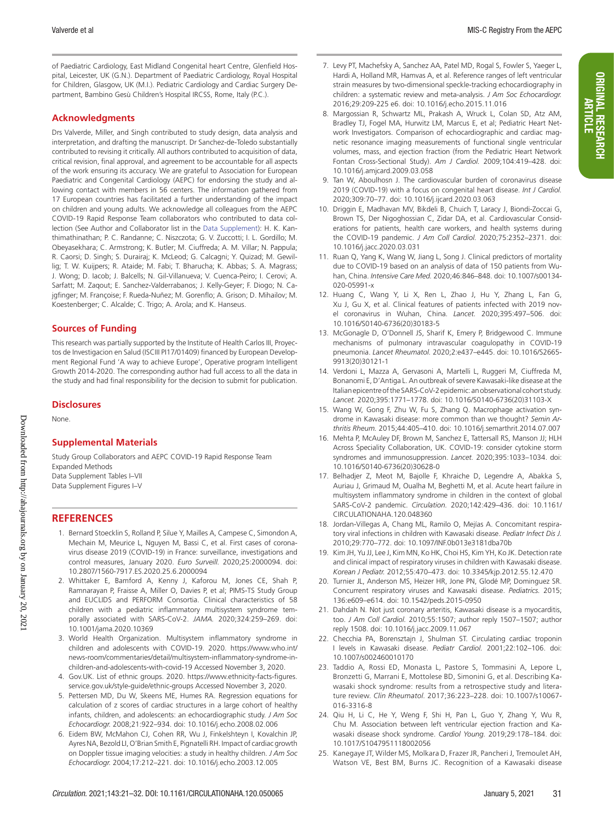ORIGINAL RESEARCH ARTICLE

**ORIGINAL RESEARCH** 

of Paediatric Cardiology, East Midland Congenital heart Centre, Glenfield Hospital, Leicester, UK (G.N.). Department of Paediatric Cardiology, Royal Hospital for Children, Glasgow, UK (M.I.). Pediatric Cardiology and Cardiac Surgery Department, Bambino Gesù Children's Hospital IRCSS, Rome, Italy (P.C.).

#### **Acknowledgments**

Drs Valverde, Miller, and Singh contributed to study design, data analysis and interpretation, and drafting the manuscript. Dr Sanchez-de-Toledo substantially contributed to revising it critically. All authors contributed to acquisition of data, critical revision, final approval, and agreement to be accountable for all aspects of the work ensuring its accuracy. We are grateful to Association for European Paediatric and Congenital Cardiology (AEPC) for endorsing the study and allowing contact with members in 56 centers. The information gathered from 17 European countries has facilitated a further understanding of the impact on children and young adults. We acknowledge all colleagues from the AEPC COVID-19 Rapid Response Team collaborators who contributed to data collection (See Author and Collaborator list in the Data Supplement): H. K. Kanthimathinathan; P. C. Randanne; C. Niszczota; G. V. Zuccotti; I. L. Gordillo; M. Obeyasekhara; C. Armstrong; K. Butler; M. Ciuffreda; A. M. Villar; N. Pappula; R. Caorsi; D. Singh; S. Durairaj; K. McLeod; G. Calcagni; Y. Quizad; M. Gewillig; T. W. Kuijpers; R. Ataide; M. Fabi; T. Bharucha; K. Abbas; S. A. Magrass; J. Wong; D. Iacob; J. Balcells; N. Gil-Villanueva; V. Cuenca-Peiro; I. Cerovi; A. Sarfatt; M. Zaqout; E. Sanchez-Valderrabanos; J. Kelly-Geyer; F. Diogo; N. Cajgfinger; M. Françoise; F. Rueda-Nuñez; M. Gorenflo; A. Grison; D. Mihailov; M. Koestenberger; C. Alcalde; C. Trigo; A. Arola; and K. Hanseus.

#### **Sources of Funding**

This research was partially supported by the Institute of Health Carlos III, Proyectos de Investigacion en Salud (ISCIII PI17/01409) financed by European Development Regional Fund 'A way to achieve Europe', Operative program Intelligent Growth 2014‐2020. The corresponding author had full access to all the data in the study and had final responsibility for the decision to submit for publication.

#### **Disclosures**

None.

#### **Supplemental Materials**

Study Group Collaborators and AEPC COVID-19 Rapid Response Team Expanded Methods Data Supplement Tables I–VII Data Supplement Figures I–V

#### **REFERENCES**

- 1. Bernard Stoecklin S, Rolland P, Silue Y, Mailles A, Campese C, Simondon A, Mechain M, Meurice L, Nguyen M, Bassi C, et al. First cases of coronavirus disease 2019 (COVID-19) in France: surveillance, investigations and control measures, January 2020. *Euro Surveill.* 2020;25:2000094. doi: 10.2807/1560-7917.ES.2020.25.6.2000094
- 2. Whittaker E, Bamford A, Kenny J, Kaforou M, Jones CE, Shah P, Ramnarayan P, Fraisse A, Miller O, Davies P, et al; PIMS-TS Study Group and EUCLIDS and PERFORM Consortia. Clinical characteristics of 58 children with a pediatric inflammatory multisystem syndrome temporally associated with SARS-CoV-2. *JAMA.* 2020;324:259–269. doi: 10.1001/jama.2020.10369
- 3. World Health Organization. Multisystem inflammatory syndrome in children and adolescents with COVID-19. 2020. https://www.who.int/ news-room/commentaries/detail/multisystem-inflammatory-syndrome-inchildren-and-adolescents-with-covid-19 Accessed November 3, 2020.
- 4. Gov.UK. List of ethnic groups. 2020. https://www.ethnicity-facts-figures. service.gov.uk/style-guide/ethnic-groups Accessed November 3, 2020.
- 5. Pettersen MD, Du W, Skeens ME, Humes RA. Regression equations for calculation of z scores of cardiac structures in a large cohort of healthy infants, children, and adolescents: an echocardiographic study. *J Am Soc Echocardiogr.* 2008;21:922–934. doi: 10.1016/j.echo.2008.02.006
- 6. Eidem BW, McMahon CJ, Cohen RR, Wu J, Finkelshteyn I, Kovalchin JP, Ayres NA, Bezold LI, O'Brian Smith E, Pignatelli RH. Impact of cardiac growth on Doppler tissue imaging velocities: a study in healthy children. *J Am Soc Echocardiogr.* 2004;17:212–221. doi: 10.1016/j.echo.2003.12.005
- 7. Levy PT, Machefsky A, Sanchez AA, Patel MD, Rogal S, Fowler S, Yaeger L, Hardi A, Holland MR, Hamvas A, et al. Reference ranges of left ventricular strain measures by two-dimensional speckle-tracking echocardiography in children: a systematic review and meta-analysis. *J Am Soc Echocardiogr.* 2016;29:209-225 e6. doi: 10.1016/j.echo.2015.11.016
- 8. Margossian R, Schwartz ML, Prakash A, Wruck L, Colan SD, Atz AM, Bradley TJ, Fogel MA, Hurwitz LM, Marcus E, et al; Pediatric Heart Network Investigators. Comparison of echocardiographic and cardiac magnetic resonance imaging measurements of functional single ventricular volumes, mass, and ejection fraction (from the Pediatric Heart Network Fontan Cross-Sectional Study). *Am J Cardiol.* 2009;104:419–428. doi: 10.1016/j.amjcard.2009.03.058
- 9. Tan W, Aboulhosn J. The cardiovascular burden of coronavirus disease 2019 (COVID-19) with a focus on congenital heart disease. *Int J Cardiol.* 2020;309:70–77. doi: 10.1016/j.ijcard.2020.03.063
- 10. Driggin E, Madhavan MV, Bikdeli B, Chuich T, Laracy J, Biondi-Zoccai G, Brown TS, Der Nigoghossian C, Zidar DA, et al. Cardiovascular Considerations for patients, health care workers, and health systems during the COVID-19 pandemic. *J Am Coll Cardiol.* 2020;75:2352–2371. doi: 10.1016/j.jacc.2020.03.031
- 11. Ruan Q, Yang K, Wang W, Jiang L, Song J. Clinical predictors of mortality due to COVID-19 based on an analysis of data of 150 patients from Wuhan, China. *Intensive Care Med.* 2020;46:846–848. doi: 10.1007/s00134- 020-05991-x
- 12. Huang C, Wang Y, Li X, Ren L, Zhao J, Hu Y, Zhang L, Fan G, Xu J, Gu X, et al. Clinical features of patients infected with 2019 novel coronavirus in Wuhan, China. *Lancet.* 2020;395:497–506. doi: 10.1016/S0140-6736(20)30183-5
- 13. McGonagle D, O'Donnell JS, Sharif K, Emery P, Bridgewood C. Immune mechanisms of pulmonary intravascular coagulopathy in COVID-19 pneumonia. *Lancet Rheumatol.* 2020;2:e437–e445. doi: 10.1016/S2665- 9913(20)30121-1
- 14. Verdoni L, Mazza A, Gervasoni A, Martelli L, Ruggeri M, Ciuffreda M, Bonanomi E, D'Antiga L. An outbreak of severe Kawasaki-like disease at the Italian epicentre of the SARS-CoV-2 epidemic: an observational cohort study. *Lancet.* 2020;395:1771–1778. doi: 10.1016/S0140-6736(20)31103-X
- 15. Wang W, Gong F, Zhu W, Fu S, Zhang Q. Macrophage activation syndrome in Kawasaki disease: more common than we thought? *Semin Arthritis Rheum.* 2015;44:405–410. doi: 10.1016/j.semarthrit.2014.07.007
- 16. Mehta P, McAuley DF, Brown M, Sanchez E, Tattersall RS, Manson JJ; HLH Across Speciality Collaboration, UK. COVID-19: consider cytokine storm syndromes and immunosuppression. *Lancet.* 2020;395:1033–1034. doi: 10.1016/S0140-6736(20)30628-0
- 17. Belhadjer Z, Meot M, Bajolle F, Khraiche D, Legendre A, Abakka S, Auriau J, Grimaud M, Oualha M, Beghetti M, et al. Acute heart failure in multisystem inflammatory syndrome in children in the context of global SARS-CoV-2 pandemic. *Circulation.* 2020;142:429–436. doi: 10.1161/ CIRCULATIONAHA.120.048360
- 18. Jordan-Villegas A, Chang ML, Ramilo O, Mejías A. Concomitant respiratory viral infections in children with Kawasaki disease. *Pediatr Infect Dis J.* 2010;29:770–772. doi: 10.1097/INF.0b013e3181dba70b
- 19. Kim JH, Yu JJ, Lee J, Kim MN, Ko HK, Choi HS, Kim YH, Ko JK. Detection rate and clinical impact of respiratory viruses in children with Kawasaki disease. *Korean J Pediatr.* 2012;55:470–473. doi: 10.3345/kjp.2012.55.12.470
- 20. Turnier JL, Anderson MS, Heizer HR, Jone PN, Glodé MP, Dominguez SR. Concurrent respiratory viruses and Kawasaki disease. *Pediatrics.* 2015; 136:e609–e614. doi: 10.1542/peds.2015-0950
- 21. Dahdah N. Not just coronary arteritis, Kawasaki disease is a myocarditis, too. *J Am Coll Cardiol.* 2010;55:1507; author reply 1507–1507; author reply 1508. doi: 10.1016/j.jacc.2009.11.067
- 22. Checchia PA, Borensztajn J, Shulman ST. Circulating cardiac troponin I levels in Kawasaki disease. *Pediatr Cardiol.* 2001;22:102–106. doi: 10.1007/s002460010170
- 23. Taddio A, Rossi ED, Monasta L, Pastore S, Tommasini A, Lepore L, Bronzetti G, Marrani E, Mottolese BD, Simonini G, et al. Describing Kawasaki shock syndrome: results from a retrospective study and literature review. *Clin Rheumatol.* 2017;36:223–228. doi: 10.1007/s10067- 016-3316-8
- 24. Qiu H, Li C, He Y, Weng F, Shi H, Pan L, Guo Y, Zhang Y, Wu R, Chu M. Association between left ventricular ejection fraction and Kawasaki disease shock syndrome. *Cardiol Young.* 2019;29:178–184. doi: 10.1017/S1047951118002056
- 25. Kanegaye JT, Wilder MS, Molkara D, Frazer JR, Pancheri J, Tremoulet AH, Watson VE, Best BM, Burns JC. Recognition of a Kawasaki disease